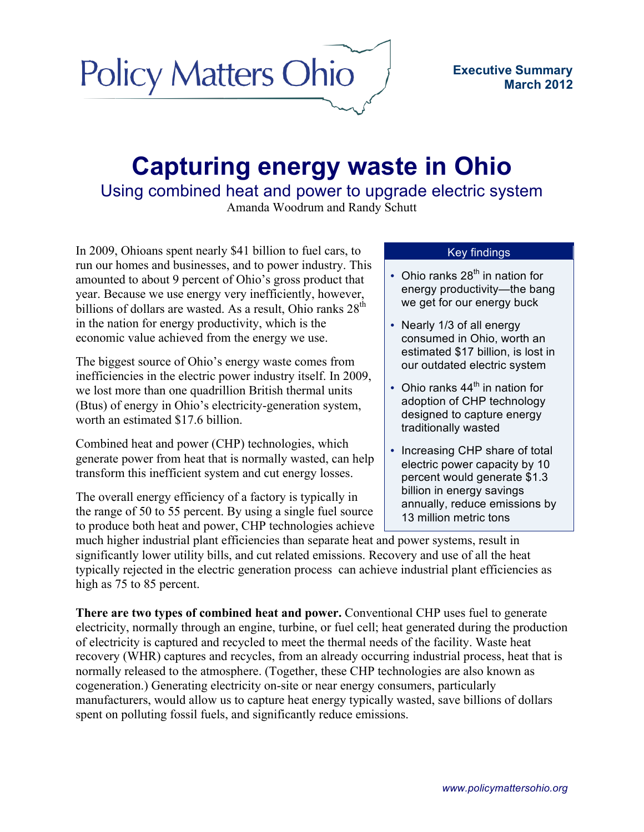## **Policy Matters Ohio**

## **Capturing energy waste in Ohio**

Using combined heat and power to upgrade electric system

Amanda Woodrum and Randy Schutt

In 2009, Ohioans spent nearly \$41 billion to fuel cars, to run our homes and businesses, and to power industry. This amounted to about 9 percent of Ohio's gross product that year. Because we use energy very inefficiently, however, billions of dollars are wasted. As a result, Ohio ranks  $28<sup>th</sup>$ in the nation for energy productivity, which is the economic value achieved from the energy we use.

The biggest source of Ohio's energy waste comes from inefficiencies in the electric power industry itself. In 2009, we lost more than one quadrillion British thermal units (Btus) of energy in Ohio's electricity-generation system, worth an estimated \$17.6 billion.

Combined heat and power (CHP) technologies, which generate power from heat that is normally wasted, can help transform this inefficient system and cut energy losses.

The overall energy efficiency of a factory is typically in the range of 50 to 55 percent. By using a single fuel source to produce both heat and power, CHP technologies achieve

## Key findings

- Ohio ranks  $28<sup>th</sup>$  in nation for energy productivity—the bang we get for our energy buck
- Nearly 1/3 of all energy consumed in Ohio, worth an estimated \$17 billion, is lost in our outdated electric system
- Ohio ranks  $44^{\text{th}}$  in nation for adoption of CHP technology designed to capture energy traditionally wasted
- Increasing CHP share of total electric power capacity by 10 percent would generate \$1.3 billion in energy savings annually, reduce emissions by 13 million metric tons

much higher industrial plant efficiencies than separate heat and power systems, result in significantly lower utility bills, and cut related emissions. Recovery and use of all the heat typically rejected in the electric generation process can achieve industrial plant efficiencies as high as 75 to 85 percent.

**There are two types of combined heat and power.** Conventional CHP uses fuel to generate electricity, normally through an engine, turbine, or fuel cell; heat generated during the production of electricity is captured and recycled to meet the thermal needs of the facility. Waste heat recovery (WHR) captures and recycles, from an already occurring industrial process, heat that is normally released to the atmosphere. (Together, these CHP technologies are also known as cogeneration.) Generating electricity on-site or near energy consumers, particularly manufacturers, would allow us to capture heat energy typically wasted, save billions of dollars spent on polluting fossil fuels, and significantly reduce emissions.